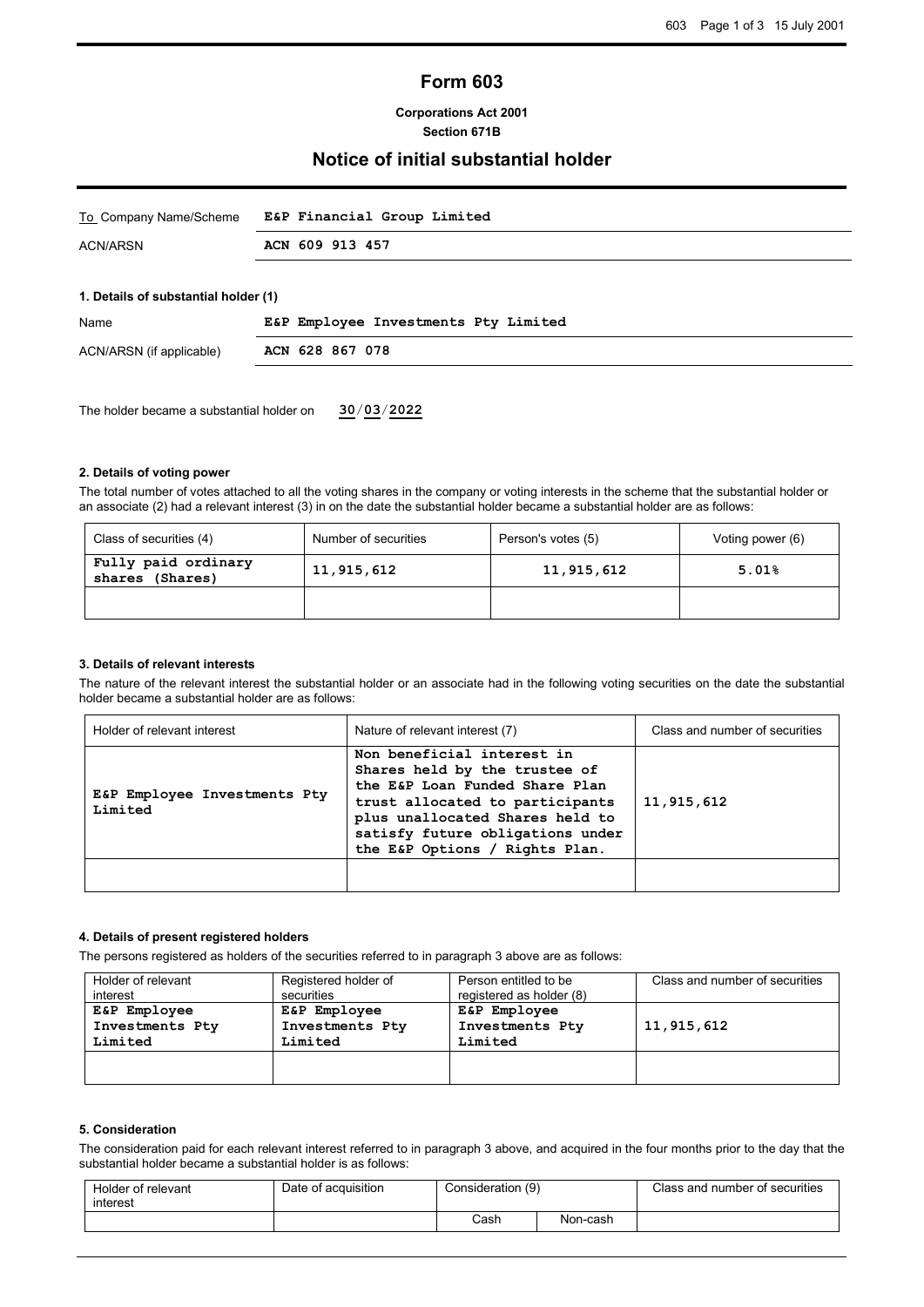# **Form 603**

## **Corporations Act 2001 Section 671B**

# **Notice of initial substantial holder**

| To Company Name/Scheme               | E&P Financial Group Limited          |
|--------------------------------------|--------------------------------------|
| ACN/ARSN                             | ACN 609 913 457                      |
|                                      |                                      |
| 1. Details of substantial holder (1) |                                      |
| <b>Nome</b>                          | ECD Employee Introducete Dty Ijmited |

| Name                     |                 | E&P Employee Investments Pty Limited |  |
|--------------------------|-----------------|--------------------------------------|--|
| ACN/ARSN (if applicable) | ACN 628 867 078 |                                      |  |

The holder became a substantial holder on **30**/**03**/**2022**

#### **2. Details of voting power**

The total number of votes attached to all the voting shares in the company or voting interests in the scheme that the substantial holder or an associate (2) had a relevant interest (3) in on the date the substantial holder became a substantial holder are as follows:

| Class of securities (4)                   | Number of securities | Person's votes (5) | Voting power (6) |
|-------------------------------------------|----------------------|--------------------|------------------|
| Fully paid ordinary<br>(Shares)<br>shares | 11,915,612           | 11,915,612         | 5.01%            |
|                                           |                      |                    |                  |

## **3. Details of relevant interests**

The nature of the relevant interest the substantial holder or an associate had in the following voting securities on the date the substantial holder became a substantial holder are as follows:

| Holder of relevant interest             | Nature of relevant interest (7)                                                                                                                                                                                                           | Class and number of securities |
|-----------------------------------------|-------------------------------------------------------------------------------------------------------------------------------------------------------------------------------------------------------------------------------------------|--------------------------------|
| E&P Employee Investments Pty<br>Limited | Non beneficial interest in<br>Shares held by the trustee of<br>the E&P Loan Funded Share Plan<br>trust allocated to participants<br>plus unallocated Shares held to<br>satisfy future obligations under<br>the E&P Options / Rights Plan. | 11,915,612                     |
|                                         |                                                                                                                                                                                                                                           |                                |

#### **4. Details of present registered holders**

The persons registered as holders of the securities referred to in paragraph 3 above are as follows:

| Holder of relevant<br>interest | Registered holder of<br>securities | Person entitled to be<br>registered as holder (8) | Class and number of securities |
|--------------------------------|------------------------------------|---------------------------------------------------|--------------------------------|
| E&P Employee                   | E&P Employee                       | E&P Employee                                      |                                |
| Investments Pty                | Investments Pty                    | Investments Pty                                   | 11,915,612                     |
| Limited                        | Limited                            | Limited                                           |                                |
|                                |                                    |                                                   |                                |
|                                |                                    |                                                   |                                |

# **5. Consideration**

The consideration paid for each relevant interest referred to in paragraph 3 above, and acquired in the four months prior to the day that the substantial holder became a substantial holder is as follows:

| Holder of relevant<br>interest | Date of acquisition | Consideration (9) |          | Class and number of securities |
|--------------------------------|---------------------|-------------------|----------|--------------------------------|
|                                |                     | Cash              | Non-cash |                                |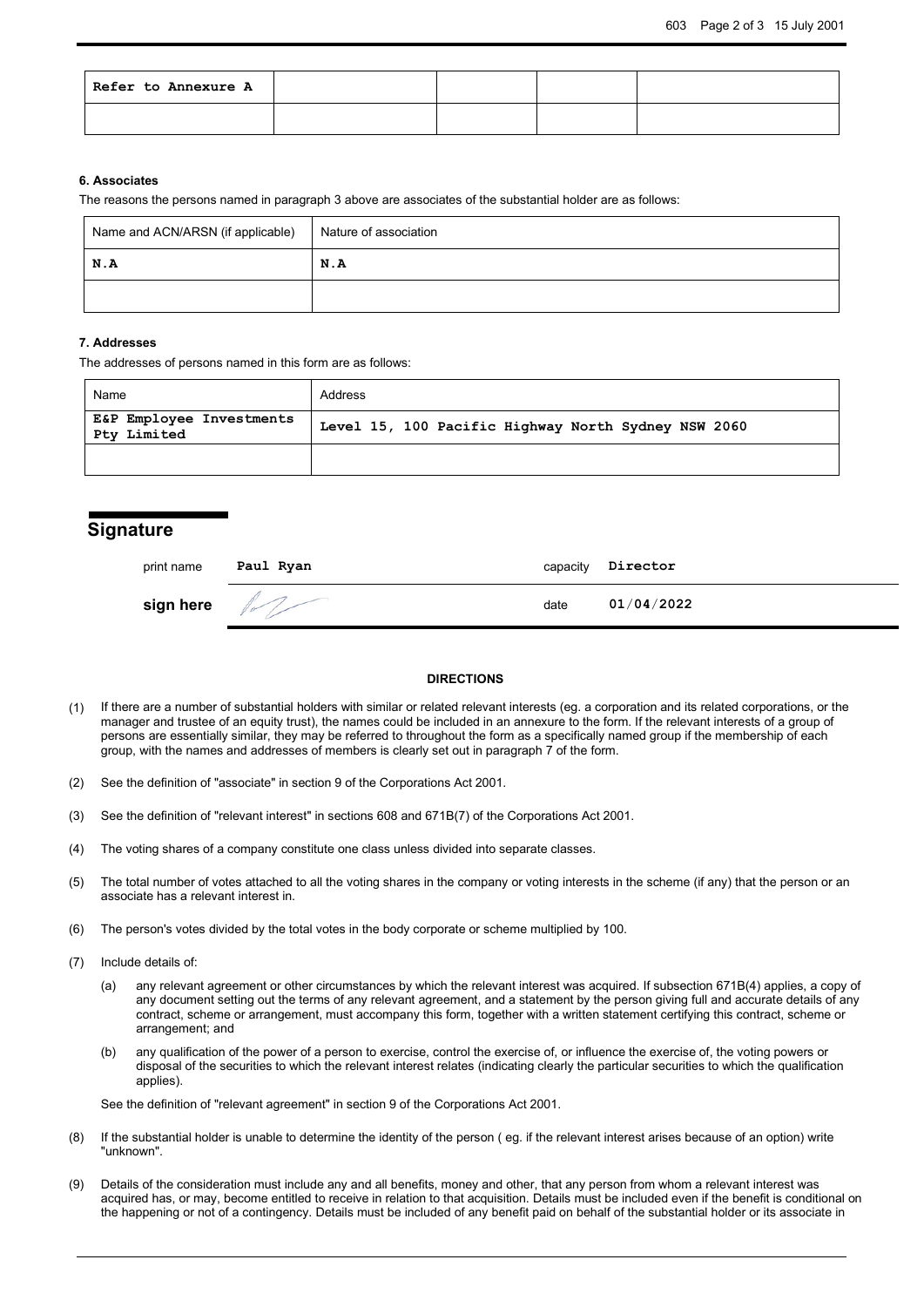| Refer to Annexure A |  |  |
|---------------------|--|--|
|                     |  |  |

## **6. Associates**

The reasons the persons named in paragraph 3 above are associates of the substantial holder are as follows:

| Name and ACN/ARSN (if applicable) | Nature of association |
|-----------------------------------|-----------------------|
| N.A                               | N.A                   |
|                                   |                       |

#### **7. Addresses**

The addresses of persons named in this form are as follows:

| Name                                    | Address                                             |
|-----------------------------------------|-----------------------------------------------------|
| E&P Employee Investments<br>Pty Limited | Level 15, 100 Pacific Highway North Sydney NSW 2060 |
|                                         |                                                     |

# **Signature**

| print name | Paul Ryan | capacity | Director   |
|------------|-----------|----------|------------|
| sign here  |           | date     | 01/04/2022 |

#### **DIRECTIONS**

- (1) If there are a number of substantial holders with similar or related relevant interests (eg. a corporation and its related corporations, or the manager and trustee of an equity trust), the names could be included in an annexure to the form. If the relevant interests of a group of persons are essentially similar, they may be referred to throughout the form as a specifically named group if the membership of each group, with the names and addresses of members is clearly set out in paragraph 7 of the form.
- (2) See the definition of "associate" in section 9 of the Corporations Act 2001.
- (3) See the definition of "relevant interest" in sections 608 and 671B(7) of the Corporations Act 2001.
- (4) The voting shares of a company constitute one class unless divided into separate classes.
- (5) The total number of votes attached to all the voting shares in the company or voting interests in the scheme (if any) that the person or an associate has a relevant interest in.
- (6) The person's votes divided by the total votes in the body corporate or scheme multiplied by 100.
- (7) Include details of:
	- (a) any relevant agreement or other circumstances by which the relevant interest was acquired. If subsection 671B(4) applies, a copy of any document setting out the terms of any relevant agreement, and a statement by the person giving full and accurate details of any contract, scheme or arrangement, must accompany this form, together with a written statement certifying this contract, scheme or arrangement; and
	- (b) any qualification of the power of a person to exercise, control the exercise of, or influence the exercise of, the voting powers or disposal of the securities to which the relevant interest relates (indicating clearly the particular securities to which the qualification applies).

See the definition of "relevant agreement" in section 9 of the Corporations Act 2001.

- (8) If the substantial holder is unable to determine the identity of the person ( eg. if the relevant interest arises because of an option) write "unknown".
- (9) Details of the consideration must include any and all benefits, money and other, that any person from whom a relevant interest was acquired has, or may, become entitled to receive in relation to that acquisition. Details must be included even if the benefit is conditional on the happening or not of a contingency. Details must be included of any benefit paid on behalf of the substantial holder or its associate in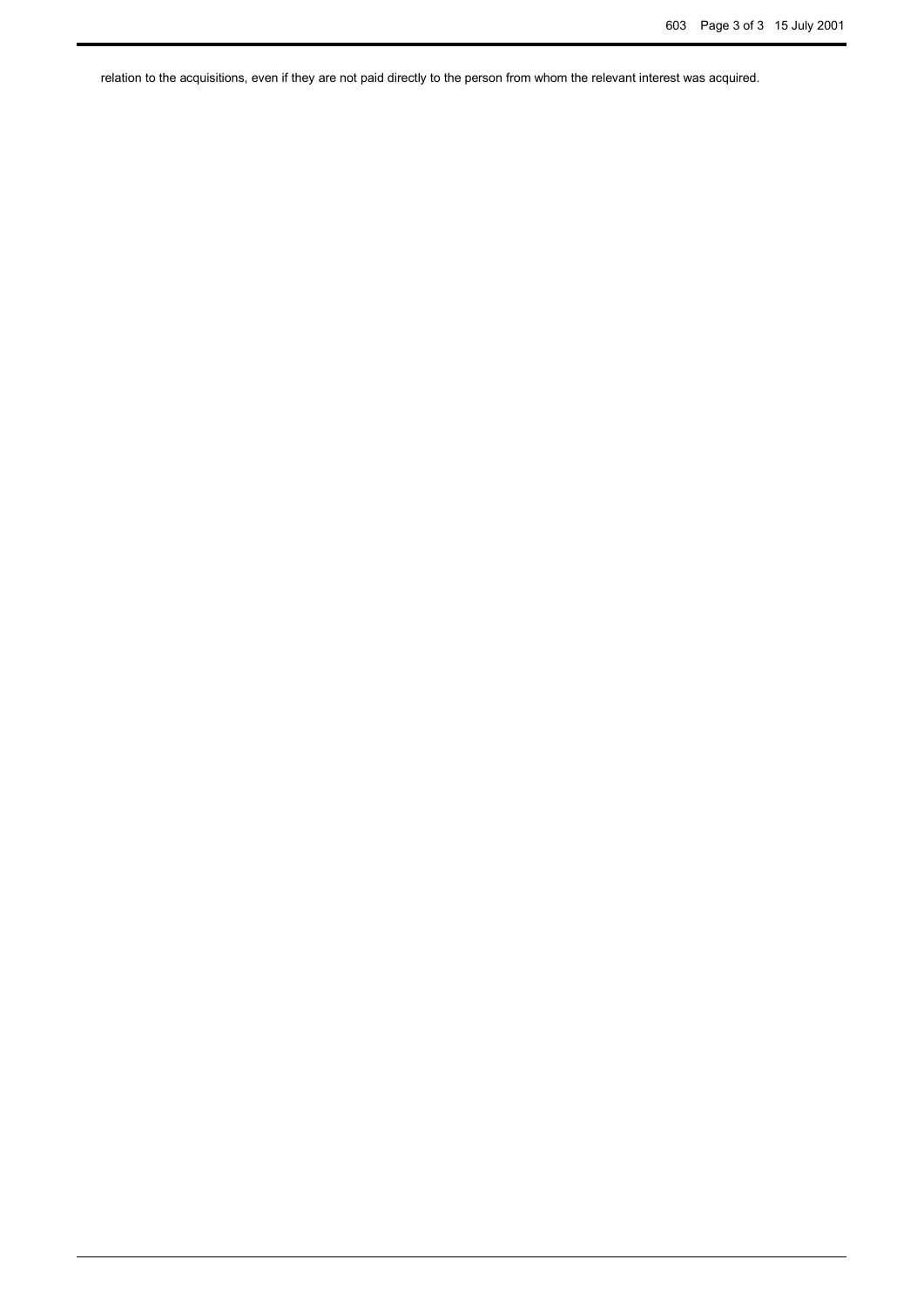relation to the acquisitions, even if they are not paid directly to the person from whom the relevant interest was acquired.